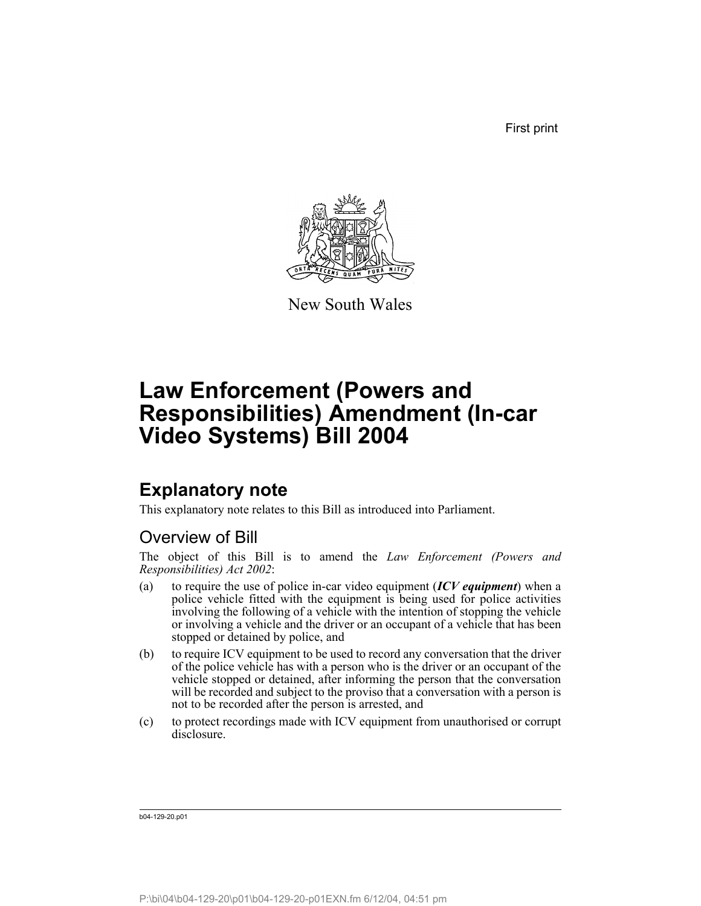First print



New South Wales

# **Law Enforcement (Powers and Responsibilities) Amendment (In-car Video Systems) Bill 2004**

## **Explanatory note**

This explanatory note relates to this Bill as introduced into Parliament.

## Overview of Bill

The object of this Bill is to amend the *Law Enforcement (Powers and Responsibilities) Act 2002*:

- (a) to require the use of police in-car video equipment (*ICV equipment*) when a police vehicle fitted with the equipment is being used for police activities involving the following of a vehicle with the intention of stopping the vehicle or involving a vehicle and the driver or an occupant of a vehicle that has been stopped or detained by police, and
- (b) to require ICV equipment to be used to record any conversation that the driver of the police vehicle has with a person who is the driver or an occupant of the vehicle stopped or detained, after informing the person that the conversation will be recorded and subject to the proviso that a conversation with a person is not to be recorded after the person is arrested, and
- (c) to protect recordings made with ICV equipment from unauthorised or corrupt disclosure.

b04-129-20.p01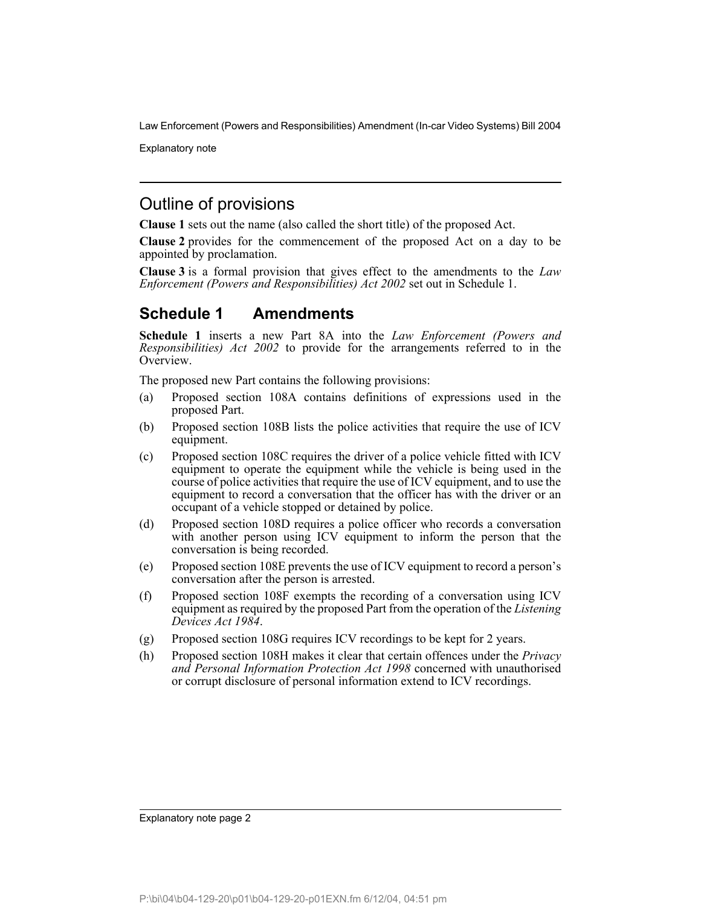Explanatory note

## Outline of provisions

**Clause 1** sets out the name (also called the short title) of the proposed Act.

**Clause 2** provides for the commencement of the proposed Act on a day to be appointed by proclamation.

**Clause 3** is a formal provision that gives effect to the amendments to the *Law Enforcement (Powers and Responsibilities) Act 2002* set out in Schedule 1.

## **Schedule 1 Amendments**

**Schedule 1** inserts a new Part 8A into the *Law Enforcement (Powers and Responsibilities) Act 2002* to provide for the arrangements referred to in the Overview.

The proposed new Part contains the following provisions:

- (a) Proposed section 108A contains definitions of expressions used in the proposed Part.
- (b) Proposed section 108B lists the police activities that require the use of ICV equipment.
- (c) Proposed section 108C requires the driver of a police vehicle fitted with ICV equipment to operate the equipment while the vehicle is being used in the course of police activities that require the use of ICV equipment, and to use the equipment to record a conversation that the officer has with the driver or an occupant of a vehicle stopped or detained by police.
- (d) Proposed section 108D requires a police officer who records a conversation with another person using ICV equipment to inform the person that the conversation is being recorded.
- (e) Proposed section 108E prevents the use of ICV equipment to record a person's conversation after the person is arrested.
- (f) Proposed section 108F exempts the recording of a conversation using ICV equipment as required by the proposed Part from the operation of the *Listening Devices Act 1984*.
- (g) Proposed section 108G requires ICV recordings to be kept for 2 years.
- (h) Proposed section 108H makes it clear that certain offences under the *Privacy and Personal Information Protection Act 1998* concerned with unauthorised or corrupt disclosure of personal information extend to ICV recordings.

Explanatory note page 2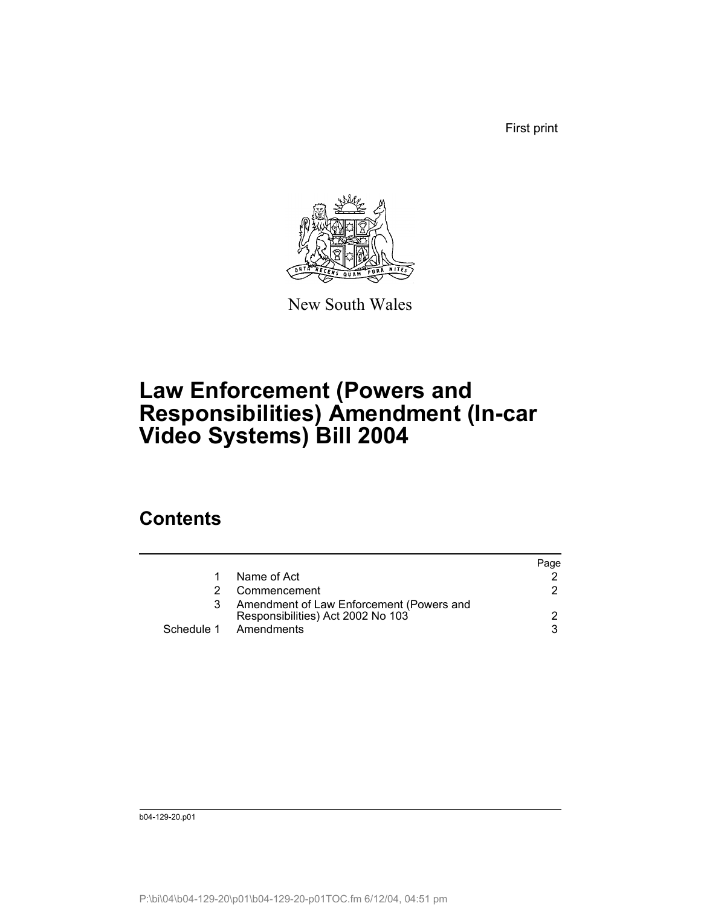First print



New South Wales

# **Law Enforcement (Powers and Responsibilities) Amendment (In-car Video Systems) Bill 2004**

## **Contents**

|                                                                               | Page |
|-------------------------------------------------------------------------------|------|
| Name of Act                                                                   |      |
| Commencement                                                                  |      |
| Amendment of Law Enforcement (Powers and<br>Responsibilities) Act 2002 No 103 |      |
| Schedule 1 Amendments                                                         |      |
|                                                                               |      |

b04-129-20.p01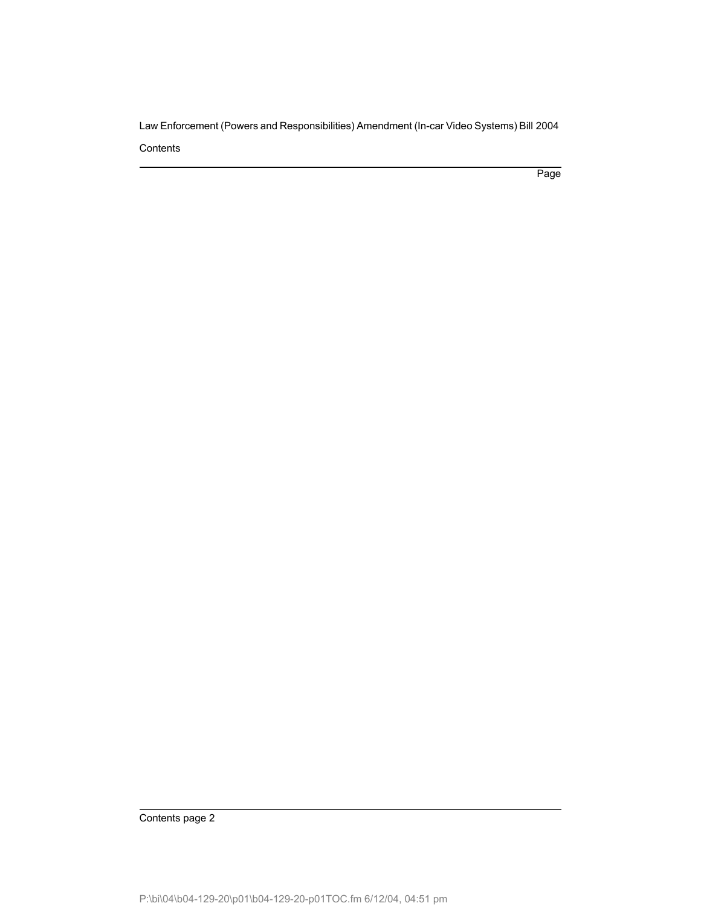Page

Contents page 2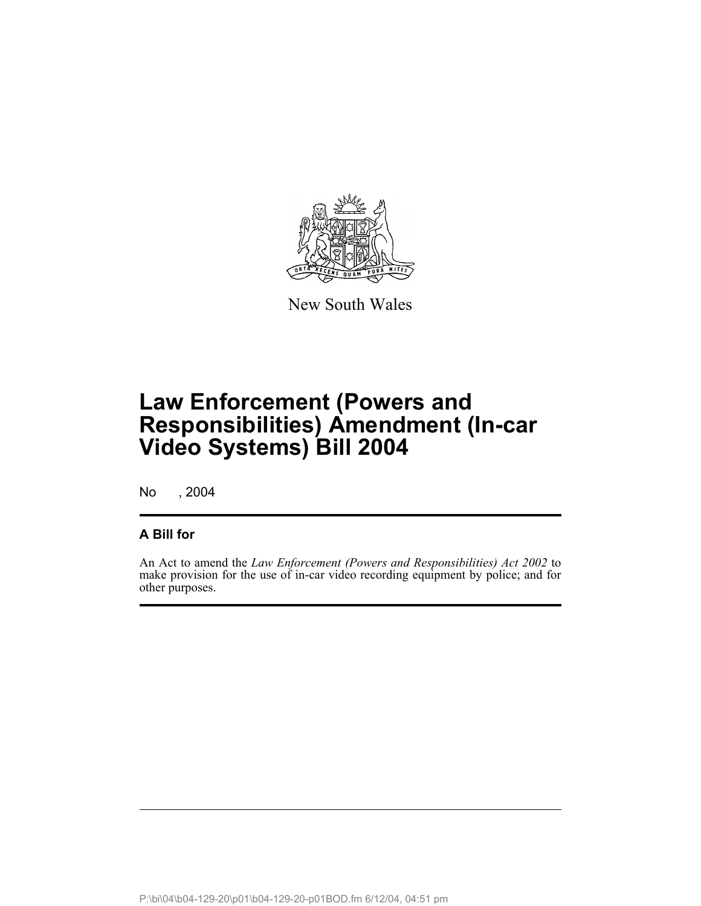

New South Wales

No , 2004

## **A Bill for**

An Act to amend the *Law Enforcement (Powers and Responsibilities) Act 2002* to make provision for the use of in-car video recording equipment by police; and for other purposes.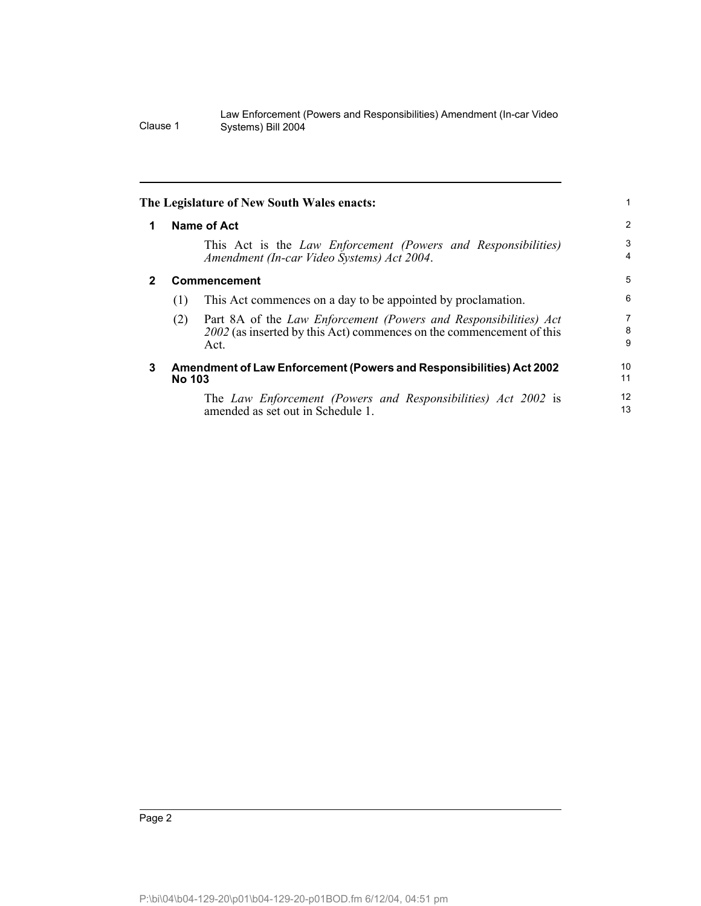<span id="page-5-1"></span><span id="page-5-0"></span>

|   |               | The Legislature of New South Wales enacts:                                                                                                       |                |
|---|---------------|--------------------------------------------------------------------------------------------------------------------------------------------------|----------------|
| 1 |               | Name of Act                                                                                                                                      | $\overline{c}$ |
|   |               | This Act is the Law Enforcement (Powers and Responsibilities)<br>Amendment (In-car Video Systems) Act 2004.                                      | 3<br>4         |
| 2 |               | <b>Commencement</b>                                                                                                                              | 5              |
|   | (1)           | This Act commences on a day to be appointed by proclamation.                                                                                     | 6              |
|   | (2)           | Part 8A of the Law Enforcement (Powers and Responsibilities) Act<br>2002 (as inserted by this Act) commences on the commencement of this<br>Act. | 7<br>8<br>9    |
| 3 | <b>No 103</b> | Amendment of Law Enforcement (Powers and Responsibilities) Act 2002                                                                              | 10<br>11       |
|   |               | The Law Enforcement (Powers and Responsibilities) Act 2002 is<br>amended as set out in Schedule 1.                                               | 12<br>13       |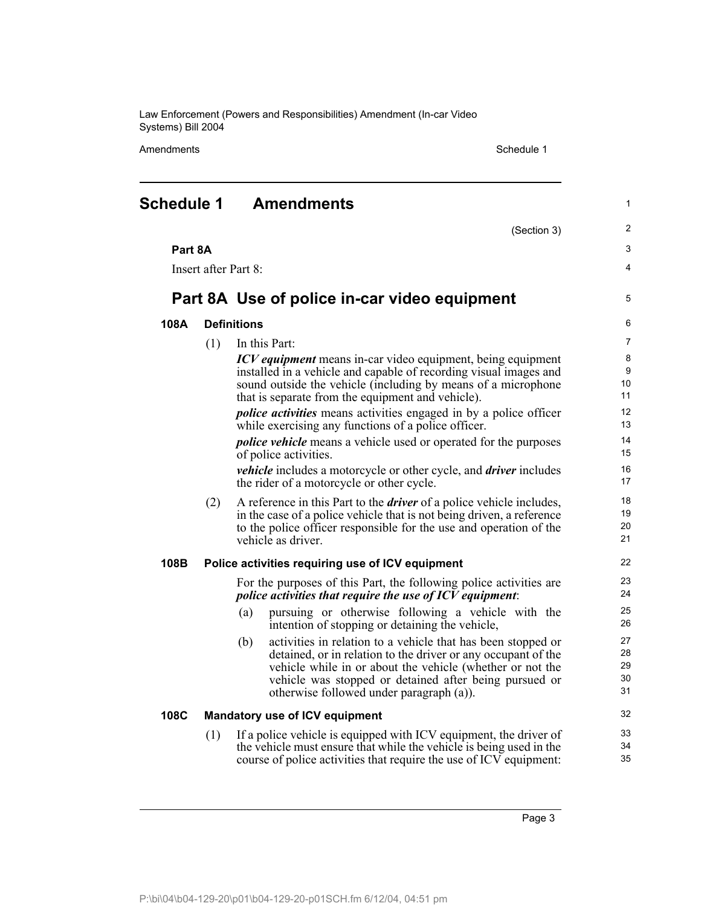Amendments Schedule 1

<span id="page-6-0"></span>

| Part 8A<br>Insert after Part 8: | (Section 3)                                                                                                                                                                                                                                                                                             | 2                                                                                                                                                                |
|---------------------------------|---------------------------------------------------------------------------------------------------------------------------------------------------------------------------------------------------------------------------------------------------------------------------------------------------------|------------------------------------------------------------------------------------------------------------------------------------------------------------------|
|                                 |                                                                                                                                                                                                                                                                                                         | 3                                                                                                                                                                |
|                                 |                                                                                                                                                                                                                                                                                                         | 4                                                                                                                                                                |
|                                 |                                                                                                                                                                                                                                                                                                         |                                                                                                                                                                  |
|                                 | Part 8A Use of police in-car video equipment                                                                                                                                                                                                                                                            | 5                                                                                                                                                                |
|                                 | <b>Definitions</b>                                                                                                                                                                                                                                                                                      | 6                                                                                                                                                                |
| (1)                             | In this Part:                                                                                                                                                                                                                                                                                           | 7                                                                                                                                                                |
|                                 | <b>ICV</b> equipment means in-car video equipment, being equipment<br>installed in a vehicle and capable of recording visual images and<br>sound outside the vehicle (including by means of a microphone<br>that is separate from the equipment and vehicle).                                           | 8<br>9<br>10<br>11                                                                                                                                               |
|                                 | <i>police activities</i> means activities engaged in by a police officer<br>while exercising any functions of a police officer.                                                                                                                                                                         | 12<br>13                                                                                                                                                         |
|                                 | <i>police vehicle</i> means a vehicle used or operated for the purposes<br>of police activities.                                                                                                                                                                                                        | 14<br>15                                                                                                                                                         |
|                                 | <i>vehicle</i> includes a motorcycle or other cycle, and <i>driver</i> includes<br>the rider of a motorcycle or other cycle.                                                                                                                                                                            | 16<br>17                                                                                                                                                         |
| (2)                             | A reference in this Part to the <i>driver</i> of a police vehicle includes,<br>in the case of a police vehicle that is not being driven, a reference<br>to the police officer responsible for the use and operation of the<br>vehicle as driver.                                                        | 18<br>19<br>20<br>21                                                                                                                                             |
|                                 |                                                                                                                                                                                                                                                                                                         | 22                                                                                                                                                               |
|                                 | For the purposes of this Part, the following police activities are<br>police activities that require the use of $\overline{ICV}$ equipment:                                                                                                                                                             | 23<br>24                                                                                                                                                         |
|                                 | pursuing or otherwise following a vehicle with the<br>(a)<br>intention of stopping or detaining the vehicle,                                                                                                                                                                                            | 25<br>26                                                                                                                                                         |
|                                 | activities in relation to a vehicle that has been stopped or<br>(b)<br>detained, or in relation to the driver or any occupant of the<br>vehicle while in or about the vehicle (whether or not the<br>vehicle was stopped or detained after being pursued or<br>otherwise followed under paragraph (a)). | 27<br>28<br>29<br>30<br>31                                                                                                                                       |
|                                 |                                                                                                                                                                                                                                                                                                         | 32                                                                                                                                                               |
| (1)                             | If a police vehicle is equipped with ICV equipment, the driver of                                                                                                                                                                                                                                       | 33<br>34                                                                                                                                                         |
|                                 |                                                                                                                                                                                                                                                                                                         | Police activities requiring use of ICV equipment<br><b>Mandatory use of ICV equipment</b><br>the vehicle must ensure that while the vehicle is being used in the |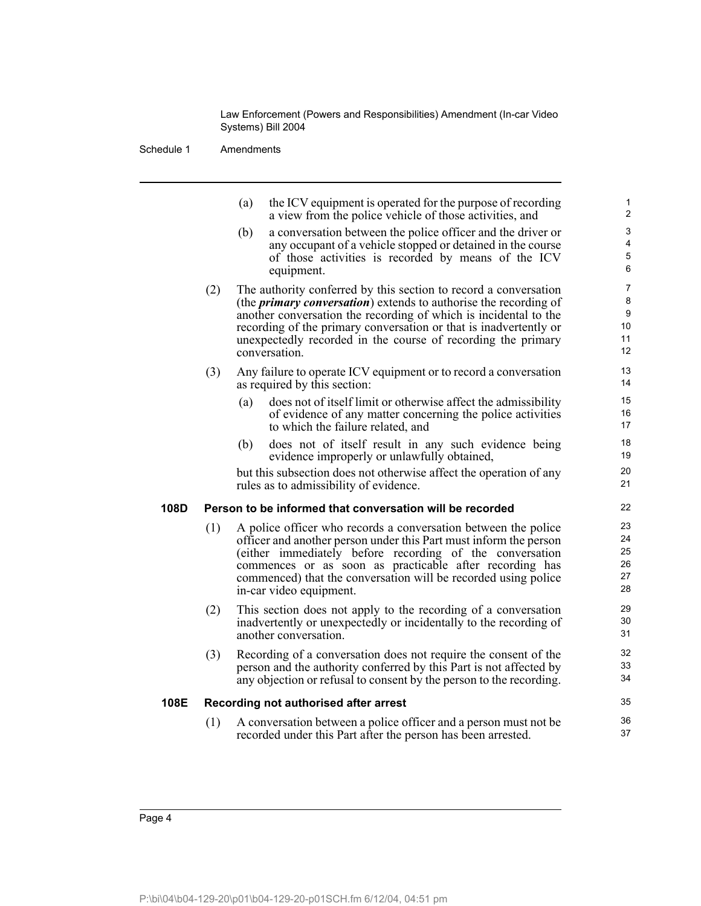Schedule 1 Amendments

| (a) | the ICV equipment is operated for the purpose of recording |
|-----|------------------------------------------------------------|
|     | a view from the police vehicle of those activities, and    |

- (b) a conversation between the police officer and the driver or any occupant of a vehicle stopped or detained in the course of those activities is recorded by means of the ICV equipment.
- (2) The authority conferred by this section to record a conversation (the *primary conversation*) extends to authorise the recording of another conversation the recording of which is incidental to the recording of the primary conversation or that is inadvertently or unexpectedly recorded in the course of recording the primary conversation.
- (3) Any failure to operate ICV equipment or to record a conversation as required by this section:
	- (a) does not of itself limit or otherwise affect the admissibility of evidence of any matter concerning the police activities to which the failure related, and
	- (b) does not of itself result in any such evidence being evidence improperly or unlawfully obtained,

but this subsection does not otherwise affect the operation of any rules as to admissibility of evidence.

### **108D Person to be informed that conversation will be recorded**

- (1) A police officer who records a conversation between the police officer and another person under this Part must inform the person (either immediately before recording of the conversation commences or as soon as practicable after recording has commenced) that the conversation will be recorded using police in-car video equipment.
- (2) This section does not apply to the recording of a conversation inadvertently or unexpectedly or incidentally to the recording of another conversation.
- (3) Recording of a conversation does not require the consent of the person and the authority conferred by this Part is not affected by any objection or refusal to consent by the person to the recording.

#### **108E Recording not authorised after arrest**

(1) A conversation between a police officer and a person must not be recorded under this Part after the person has been arrested.